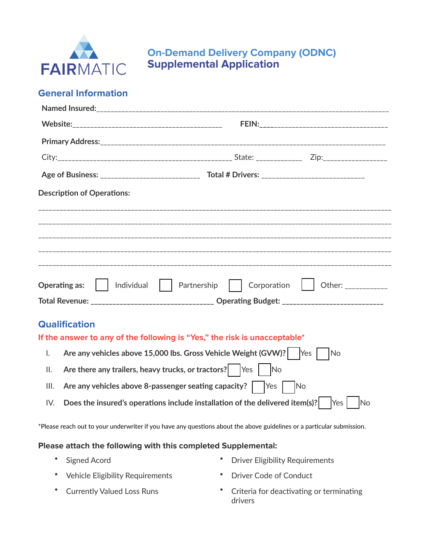

## **On-Demand Delivery Company (ODNC) Supplemental Application**

#### **General Information**

|                | <b>Description of Operations:</b>                                                                     |  |  |  |  |
|----------------|-------------------------------------------------------------------------------------------------------|--|--|--|--|
|                |                                                                                                       |  |  |  |  |
|                |                                                                                                       |  |  |  |  |
|                |                                                                                                       |  |  |  |  |
|                |                                                                                                       |  |  |  |  |
|                | Corporation   Other: ___________<br>  Individual   Partnership<br><b>Operating as:</b>                |  |  |  |  |
|                | Total Revenue: _______________________________ Operating Budget: ___________________________          |  |  |  |  |
|                | <b>Qualification</b>                                                                                  |  |  |  |  |
|                | If the answer to any of the following is "Yes," the risk is unacceptable*                             |  |  |  |  |
| $\mathsf{l}$ . | Are any vehicles above 15,000 lbs. Gross Vehicle Weight (GVW)?   Yes     No                           |  |  |  |  |
| ΙΙ.            | Are there any trailers, heavy trucks, or tractors? $ $ $ $ Yes $ $ $ $ No                             |  |  |  |  |
| III.           |                                                                                                       |  |  |  |  |
| IV.            | Does the insured's operations include installation of the delivered item(s)?<br>N <sub>o</sub><br>Yes |  |  |  |  |

\*Please reach out to your underwriter if you have any questions about the above guidelines or a particular submission.

#### **Please attach the following with this completed Supplemental:**

- Signed Acord  **Driver Eligibility Requirements**
- Vehicle Eligibility Requirements Driver Code of Conduct
- 
- 
- Currently Valued Loss Runs Criteria for deactivating or terminating drivers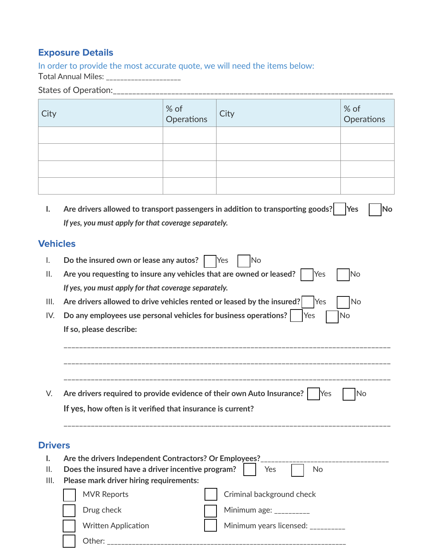### **Exposure Details**

In order to provide the most accurate quote, we will need the items below:

Total Annual Miles: \_\_\_\_\_\_\_\_\_\_\_\_\_\_\_\_\_\_\_\_\_

# States of Opera6on:\_\_\_\_\_\_\_\_\_\_\_\_\_\_\_\_\_\_\_\_\_\_\_\_\_\_\_\_\_\_\_\_\_\_\_\_\_\_\_\_\_\_\_\_\_\_\_\_\_\_\_\_\_\_\_\_\_\_\_\_\_\_\_\_\_\_\_\_\_\_\_\_

| City | $\begin{array}{ c } \hline \% \hline \end{array}$ Operations | $ $ City | $\left  \begin{array}{c} \% \  \  \circ \  \end{array} \right $ Operations |
|------|--------------------------------------------------------------|----------|----------------------------------------------------------------------------|
|      |                                                              |          |                                                                            |
|      |                                                              |          |                                                                            |
|      |                                                              |          |                                                                            |
|      |                                                              |          |                                                                            |

**I.** Are drivers allowed to transport passengers in addition to transporting goods?  $\Box$  Yes  $\Box$  No *If yes, you must apply for that coverage separately.*

#### **Vehicles**

| I.             | Do the insured own or lease any autos?<br><b>Yes</b><br>No                                  |
|----------------|---------------------------------------------------------------------------------------------|
| ΙΙ.            | Are you requesting to insure any vehicles that are owned or leased?  <br><b>IYes</b><br>lΝo |
|                | If yes, you must apply for that coverage separately.                                        |
| III.           | Are drivers allowed to drive vehicles rented or leased by the insured?<br><b>No</b><br>Yes  |
| IV.            | Do any employees use personal vehicles for business operations?<br><b>IYes</b><br><b>No</b> |
|                | If so, please describe:                                                                     |
|                |                                                                                             |
|                |                                                                                             |
|                |                                                                                             |
|                |                                                                                             |
| V.             | Are drivers required to provide evidence of their own Auto Insurance?   Yes<br>No           |
|                | If yes, how often is it verified that insurance is current?                                 |
|                |                                                                                             |
| <b>Drivers</b> |                                                                                             |
| ı.             | Are the drivers Independent Contractors? Or Employees?                                      |
| Ш.             | Does the insured have a driver incentive program?<br>Yes<br>No.                             |
| III.           | Please mark driver hiring requirements:                                                     |
|                | <b>MVR Reports</b><br>Criminal background check                                             |
|                | Drug check<br>Minimum age: $\frac{1}{2}$                                                    |
|                |                                                                                             |
|                | <b>Written Application</b><br>Minimum years licensed: _______                               |
|                | Other:                                                                                      |